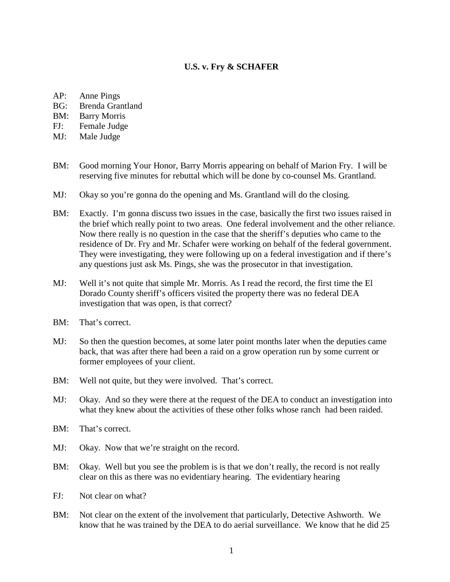### **U.S. v. Fry & SCHAFER**

- AP: Anne Pings
- BG: Brenda Grantland
- BM: Barry Morris
- FJ: Female Judge
- MJ: Male Judge
- BM: Good morning Your Honor, Barry Morris appearing on behalf of Marion Fry. I will be reserving five minutes for rebuttal which will be done by co-counsel Ms. Grantland.
- MJ: Okay so you're gonna do the opening and Ms. Grantland will do the closing.
- BM: Exactly. I'm gonna discuss two issues in the case, basically the first two issues raised in the brief which really point to two areas. One federal involvement and the other reliance. Now there really is no question in the case that the sheriff's deputies who came to the residence of Dr. Fry and Mr. Schafer were working on behalf of the federal government. They were investigating, they were following up on a federal investigation and if there's any questions just ask Ms. Pings, she was the prosecutor in that investigation.
- MJ: Well it's not quite that simple Mr. Morris. As I read the record, the first time the El Dorado County sheriff's officers visited the property there was no federal DEA investigation that was open, is that correct?
- BM: That's correct.
- MJ: So then the question becomes, at some later point months later when the deputies came back, that was after there had been a raid on a grow operation run by some current or former employees of your client.
- BM: Well not quite, but they were involved. That's correct.
- MJ: Okay. And so they were there at the request of the DEA to conduct an investigation into what they knew about the activities of these other folks whose ranch had been raided.
- BM: That's correct.
- MJ: Okay. Now that we're straight on the record.
- BM: Okay. Well but you see the problem is is that we don't really, the record is not really clear on this as there was no evidentiary hearing. The evidentiary hearing
- FJ: Not clear on what?
- BM: Not clear on the extent of the involvement that particularly, Detective Ashworth. We know that he was trained by the DEA to do aerial surveillance. We know that he did 25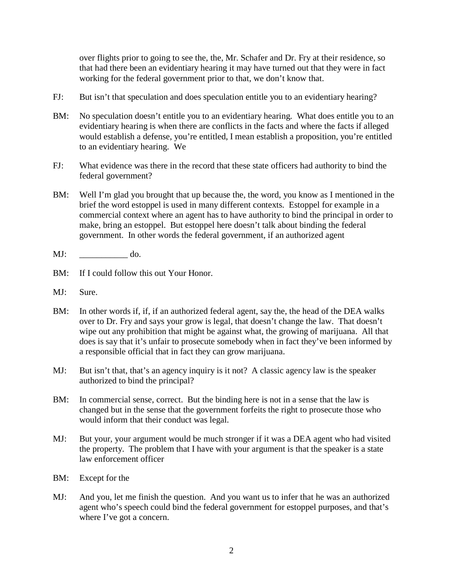over flights prior to going to see the, the, Mr. Schafer and Dr. Fry at their residence, so that had there been an evidentiary hearing it may have turned out that they were in fact working for the federal government prior to that, we don't know that.

- FJ: But isn't that speculation and does speculation entitle you to an evidentiary hearing?
- BM: No speculation doesn't entitle you to an evidentiary hearing. What does entitle you to an evidentiary hearing is when there are conflicts in the facts and where the facts if alleged would establish a defense, you're entitled, I mean establish a proposition, you're entitled to an evidentiary hearing. We
- FJ: What evidence was there in the record that these state officers had authority to bind the federal government?
- BM: Well I'm glad you brought that up because the, the word, you know as I mentioned in the brief the word estoppel is used in many different contexts. Estoppel for example in a commercial context where an agent has to have authority to bind the principal in order to make, bring an estoppel. But estoppel here doesn't talk about binding the federal government. In other words the federal government, if an authorized agent
- MJ: do.
- BM: If I could follow this out Your Honor.
- MJ: Sure.
- BM: In other words if, if, if an authorized federal agent, say the, the head of the DEA walks over to Dr. Fry and says your grow is legal, that doesn't change the law. That doesn't wipe out any prohibition that might be against what, the growing of marijuana. All that does is say that it's unfair to prosecute somebody when in fact they've been informed by a responsible official that in fact they can grow marijuana.
- MJ: But isn't that, that's an agency inquiry is it not? A classic agency law is the speaker authorized to bind the principal?
- BM: In commercial sense, correct. But the binding here is not in a sense that the law is changed but in the sense that the government forfeits the right to prosecute those who would inform that their conduct was legal.
- MJ: But your, your argument would be much stronger if it was a DEA agent who had visited the property. The problem that I have with your argument is that the speaker is a state law enforcement officer
- BM: Except for the
- MJ: And you, let me finish the question. And you want us to infer that he was an authorized agent who's speech could bind the federal government for estoppel purposes, and that's where I've got a concern.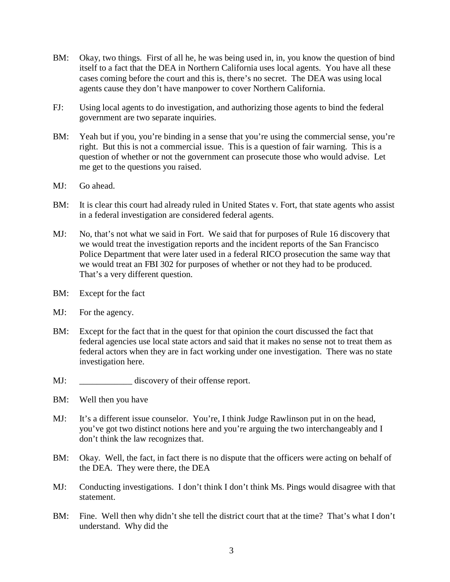- BM: Okay, two things. First of all he, he was being used in, in, you know the question of bind itself to a fact that the DEA in Northern California uses local agents. You have all these cases coming before the court and this is, there's no secret. The DEA was using local agents cause they don't have manpower to cover Northern California.
- FJ: Using local agents to do investigation, and authorizing those agents to bind the federal government are two separate inquiries.
- BM: Yeah but if you, you're binding in a sense that you're using the commercial sense, you're right. But this is not a commercial issue. This is a question of fair warning. This is a question of whether or not the government can prosecute those who would advise. Let me get to the questions you raised.
- MJ: Go ahead.
- BM: It is clear this court had already ruled in United States v. Fort, that state agents who assist in a federal investigation are considered federal agents.
- MJ: No, that's not what we said in Fort. We said that for purposes of Rule 16 discovery that we would treat the investigation reports and the incident reports of the San Francisco Police Department that were later used in a federal RICO prosecution the same way that we would treat an FBI 302 for purposes of whether or not they had to be produced. That's a very different question.
- BM: Except for the fact
- MJ: For the agency.
- BM: Except for the fact that in the quest for that opinion the court discussed the fact that federal agencies use local state actors and said that it makes no sense not to treat them as federal actors when they are in fact working under one investigation. There was no state investigation here.
- MJ: discovery of their offense report.
- BM: Well then you have
- MJ: It's a different issue counselor. You're, I think Judge Rawlinson put in on the head, you've got two distinct notions here and you're arguing the two interchangeably and I don't think the law recognizes that.
- BM: Okay. Well, the fact, in fact there is no dispute that the officers were acting on behalf of the DEA. They were there, the DEA
- MJ: Conducting investigations. I don't think I don't think Ms. Pings would disagree with that statement.
- BM: Fine. Well then why didn't she tell the district court that at the time? That's what I don't understand. Why did the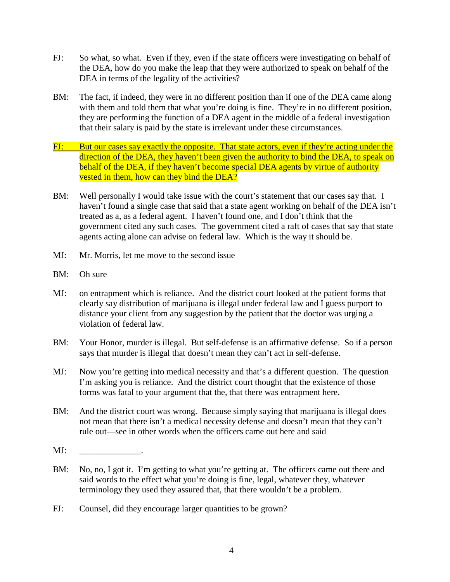- FJ: So what, so what. Even if they, even if the state officers were investigating on behalf of the DEA, how do you make the leap that they were authorized to speak on behalf of the DEA in terms of the legality of the activities?
- BM: The fact, if indeed, they were in no different position than if one of the DEA came along with them and told them that what you're doing is fine. They're in no different position, they are performing the function of a DEA agent in the middle of a federal investigation that their salary is paid by the state is irrelevant under these circumstances.
- FJ: But our cases say exactly the opposite. That state actors, even if they're acting under the direction of the DEA, they haven't been given the authority to bind the DEA, to speak on behalf of the DEA, if they haven't become special DEA agents by virtue of authority vested in them, how can they bind the DEA?
- BM: Well personally I would take issue with the court's statement that our cases say that. I haven't found a single case that said that a state agent working on behalf of the DEA isn't treated as a, as a federal agent. I haven't found one, and I don't think that the government cited any such cases. The government cited a raft of cases that say that state agents acting alone can advise on federal law. Which is the way it should be.
- MJ: Mr. Morris, let me move to the second issue
- BM: Oh sure
- MJ: on entrapment which is reliance. And the district court looked at the patient forms that clearly say distribution of marijuana is illegal under federal law and I guess purport to distance your client from any suggestion by the patient that the doctor was urging a violation of federal law.
- BM: Your Honor, murder is illegal. But self-defense is an affirmative defense. So if a person says that murder is illegal that doesn't mean they can't act in self-defense.
- MJ: Now you're getting into medical necessity and that's a different question. The question I'm asking you is reliance. And the district court thought that the existence of those forms was fatal to your argument that the, that there was entrapment here.
- BM: And the district court was wrong. Because simply saying that marijuana is illegal does not mean that there isn't a medical necessity defense and doesn't mean that they can't rule out—see in other words when the officers came out here and said
- $MI:$
- BM: No, no, I got it. I'm getting to what you're getting at. The officers came out there and said words to the effect what you're doing is fine, legal, whatever they, whatever terminology they used they assured that, that there wouldn't be a problem.
- FJ: Counsel, did they encourage larger quantities to be grown?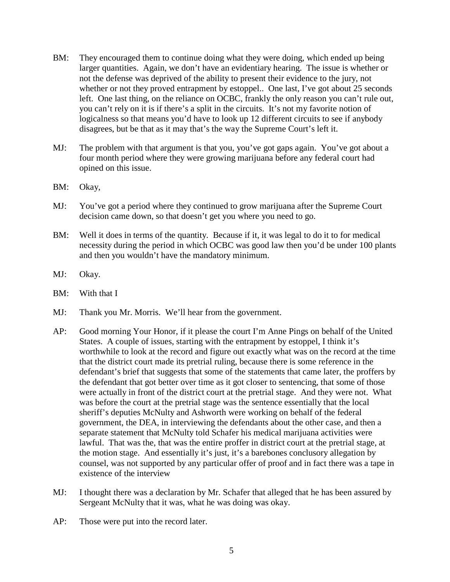- BM: They encouraged them to continue doing what they were doing, which ended up being larger quantities. Again, we don't have an evidentiary hearing. The issue is whether or not the defense was deprived of the ability to present their evidence to the jury, not whether or not they proved entrapment by estoppel.. One last, I've got about 25 seconds left. One last thing, on the reliance on OCBC, frankly the only reason you can't rule out, you can't rely on it is if there's a split in the circuits. It's not my favorite notion of logicalness so that means you'd have to look up 12 different circuits to see if anybody disagrees, but be that as it may that's the way the Supreme Court's left it.
- MJ: The problem with that argument is that you, you've got gaps again. You've got about a four month period where they were growing marijuana before any federal court had opined on this issue.
- BM: Okay,
- MJ: You've got a period where they continued to grow marijuana after the Supreme Court decision came down, so that doesn't get you where you need to go.
- BM: Well it does in terms of the quantity. Because if it, it was legal to do it to for medical necessity during the period in which OCBC was good law then you'd be under 100 plants and then you wouldn't have the mandatory minimum.
- MJ: Okay.
- BM: With that I
- MJ: Thank you Mr. Morris. We'll hear from the government.
- AP: Good morning Your Honor, if it please the court I'm Anne Pings on behalf of the United States. A couple of issues, starting with the entrapment by estoppel, I think it's worthwhile to look at the record and figure out exactly what was on the record at the time that the district court made its pretrial ruling, because there is some reference in the defendant's brief that suggests that some of the statements that came later, the proffers by the defendant that got better over time as it got closer to sentencing, that some of those were actually in front of the district court at the pretrial stage. And they were not. What was before the court at the pretrial stage was the sentence essentially that the local sheriff's deputies McNulty and Ashworth were working on behalf of the federal government, the DEA, in interviewing the defendants about the other case, and then a separate statement that McNulty told Schafer his medical marijuana activities were lawful. That was the, that was the entire proffer in district court at the pretrial stage, at the motion stage. And essentially it's just, it's a barebones conclusory allegation by counsel, was not supported by any particular offer of proof and in fact there was a tape in existence of the interview
- MJ: I thought there was a declaration by Mr. Schafer that alleged that he has been assured by Sergeant McNulty that it was, what he was doing was okay.
- AP: Those were put into the record later.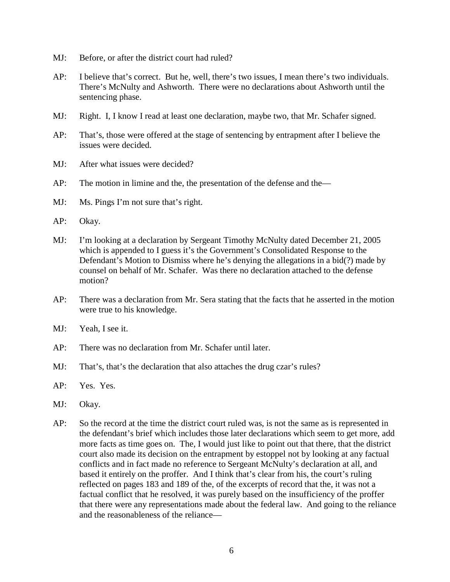- MJ: Before, or after the district court had ruled?
- AP: I believe that's correct. But he, well, there's two issues, I mean there's two individuals. There's McNulty and Ashworth. There were no declarations about Ashworth until the sentencing phase.
- MJ: Right. I, I know I read at least one declaration, maybe two, that Mr. Schafer signed.
- AP: That's, those were offered at the stage of sentencing by entrapment after I believe the issues were decided.
- MJ: After what issues were decided?
- AP: The motion in limine and the, the presentation of the defense and the—
- MJ: Ms. Pings I'm not sure that's right.
- AP: Okay.
- MJ: I'm looking at a declaration by Sergeant Timothy McNulty dated December 21, 2005 which is appended to I guess it's the Government's Consolidated Response to the Defendant's Motion to Dismiss where he's denying the allegations in a bid(?) made by counsel on behalf of Mr. Schafer. Was there no declaration attached to the defense motion?
- AP: There was a declaration from Mr. Sera stating that the facts that he asserted in the motion were true to his knowledge.
- MJ: Yeah, I see it.
- AP: There was no declaration from Mr. Schafer until later.
- MJ: That's, that's the declaration that also attaches the drug czar's rules?
- AP: Yes. Yes.
- MJ: Okay.
- AP: So the record at the time the district court ruled was, is not the same as is represented in the defendant's brief which includes those later declarations which seem to get more, add more facts as time goes on. The, I would just like to point out that there, that the district court also made its decision on the entrapment by estoppel not by looking at any factual conflicts and in fact made no reference to Sergeant McNulty's declaration at all, and based it entirely on the proffer. And I think that's clear from his, the court's ruling reflected on pages 183 and 189 of the, of the excerpts of record that the, it was not a factual conflict that he resolved, it was purely based on the insufficiency of the proffer that there were any representations made about the federal law. And going to the reliance and the reasonableness of the reliance—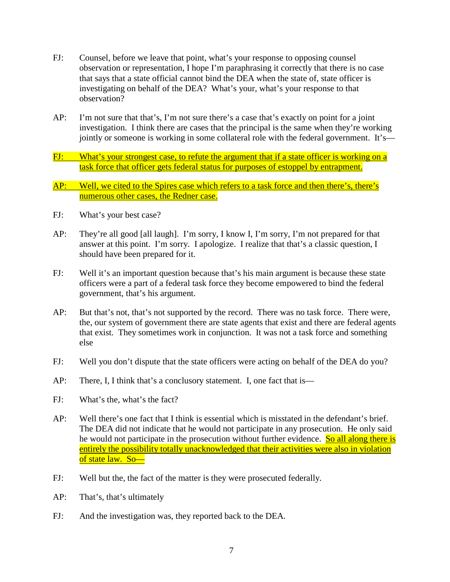- FJ: Counsel, before we leave that point, what's your response to opposing counsel observation or representation, I hope I'm paraphrasing it correctly that there is no case that says that a state official cannot bind the DEA when the state of, state officer is investigating on behalf of the DEA? What's your, what's your response to that observation?
- AP: I'm not sure that that's, I'm not sure there's a case that's exactly on point for a joint investigation. I think there are cases that the principal is the same when they're working jointly or someone is working in some collateral role with the federal government. It's—
- FJ: What's your strongest case, to refute the argument that if a state officer is working on a task force that officer gets federal status for purposes of estoppel by entrapment.
- AP: Well, we cited to the Spires case which refers to a task force and then there's, there's numerous other cases, the Redner case.
- FJ: What's your best case?
- AP: They're all good [all laugh]. I'm sorry, I know I, I'm sorry, I'm not prepared for that answer at this point. I'm sorry. I apologize. I realize that that's a classic question, I should have been prepared for it.
- FJ: Well it's an important question because that's his main argument is because these state officers were a part of a federal task force they become empowered to bind the federal government, that's his argument.
- AP: But that's not, that's not supported by the record. There was no task force. There were, the, our system of government there are state agents that exist and there are federal agents that exist. They sometimes work in conjunction. It was not a task force and something else
- FJ: Well you don't dispute that the state officers were acting on behalf of the DEA do you?
- AP: There, I, I think that's a conclusory statement. I, one fact that is—
- FJ: What's the, what's the fact?
- AP: Well there's one fact that I think is essential which is misstated in the defendant's brief. The DEA did not indicate that he would not participate in any prosecution. He only said he would not participate in the prosecution without further evidence. So all along there is entirely the possibility totally unacknowledged that their activities were also in violation of state law. So—
- FJ: Well but the, the fact of the matter is they were prosecuted federally.
- AP: That's, that's ultimately
- FJ: And the investigation was, they reported back to the DEA.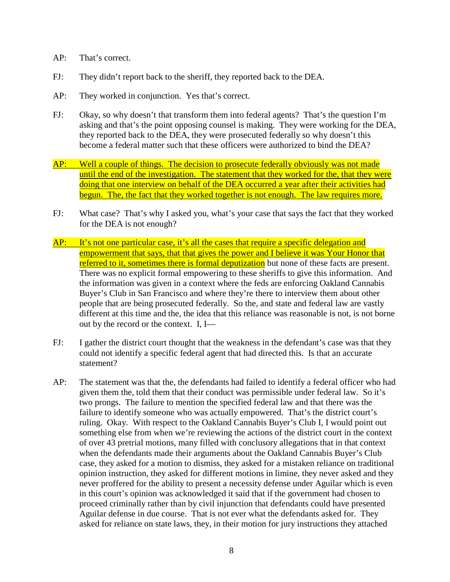- AP: That's correct.
- FJ: They didn't report back to the sheriff, they reported back to the DEA.
- AP: They worked in conjunction. Yes that's correct.
- FJ: Okay, so why doesn't that transform them into federal agents? That's the question I'm asking and that's the point opposing counsel is making. They were working for the DEA, they reported back to the DEA, they were prosecuted federally so why doesn't this become a federal matter such that these officers were authorized to bind the DEA?
- AP: Well a couple of things. The decision to prosecute federally obviously was not made until the end of the investigation. The statement that they worked for the, that they were doing that one interview on behalf of the DEA occurred a year after their activities had begun. The, the fact that they worked together is not enough. The law requires more.
- FJ: What case? That's why I asked you, what's your case that says the fact that they worked for the DEA is not enough?
- AP: It's not one particular case, it's all the cases that require a specific delegation and empowerment that says, that that gives the power and I believe it was Your Honor that referred to it, sometimes there is formal deputization but none of these facts are present. There was no explicit formal empowering to these sheriffs to give this information. And the information was given in a context where the feds are enforcing Oakland Cannabis Buyer's Club in San Francisco and where they're there to interview them about other people that are being prosecuted federally. So the, and state and federal law are vastly different at this time and the, the idea that this reliance was reasonable is not, is not borne out by the record or the context. I, I—
- FJ: I gather the district court thought that the weakness in the defendant's case was that they could not identify a specific federal agent that had directed this. Is that an accurate statement?
- AP: The statement was that the, the defendants had failed to identify a federal officer who had given them the, told them that their conduct was permissible under federal law. So it's two prongs. The failure to mention the specified federal law and that there was the failure to identify someone who was actually empowered. That's the district court's ruling. Okay. With respect to the Oakland Cannabis Buyer's Club I, I would point out something else from when we're reviewing the actions of the district court in the context of over 43 pretrial motions, many filled with conclusory allegations that in that context when the defendants made their arguments about the Oakland Cannabis Buyer's Club case, they asked for a motion to dismiss, they asked for a mistaken reliance on traditional opinion instruction, they asked for different motions in limine, they never asked and they never proffered for the ability to present a necessity defense under Aguilar which is even in this court's opinion was acknowledged it said that if the government had chosen to proceed criminally rather than by civil injunction that defendants could have presented Aguilar defense in due course. That is not ever what the defendants asked for. They asked for reliance on state laws, they, in their motion for jury instructions they attached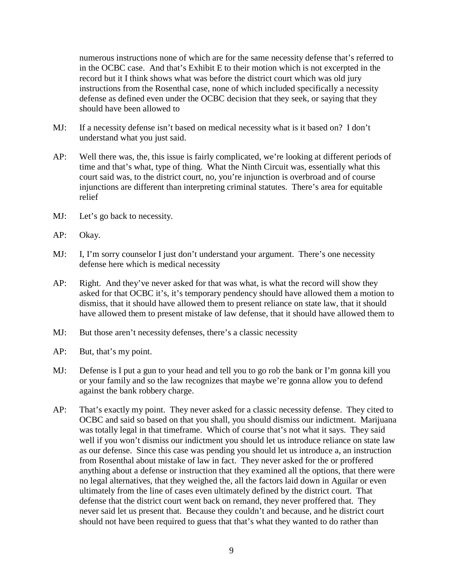numerous instructions none of which are for the same necessity defense that's referred to in the OCBC case. And that's Exhibit E to their motion which is not excerpted in the record but it I think shows what was before the district court which was old jury instructions from the Rosenthal case, none of which included specifically a necessity defense as defined even under the OCBC decision that they seek, or saying that they should have been allowed to

- MJ: If a necessity defense isn't based on medical necessity what is it based on? I don't understand what you just said.
- AP: Well there was, the, this issue is fairly complicated, we're looking at different periods of time and that's what, type of thing. What the Ninth Circuit was, essentially what this court said was, to the district court, no, you're injunction is overbroad and of course injunctions are different than interpreting criminal statutes. There's area for equitable relief
- MJ: Let's go back to necessity.
- AP: Okay.
- MJ: I, I'm sorry counselor I just don't understand your argument. There's one necessity defense here which is medical necessity
- AP: Right. And they've never asked for that was what, is what the record will show they asked for that OCBC it's, it's temporary pendency should have allowed them a motion to dismiss, that it should have allowed them to present reliance on state law, that it should have allowed them to present mistake of law defense, that it should have allowed them to
- MJ: But those aren't necessity defenses, there's a classic necessity
- AP: But, that's my point.
- MJ: Defense is I put a gun to your head and tell you to go rob the bank or I'm gonna kill you or your family and so the law recognizes that maybe we're gonna allow you to defend against the bank robbery charge.
- AP: That's exactly my point. They never asked for a classic necessity defense. They cited to OCBC and said so based on that you shall, you should dismiss our indictment. Marijuana was totally legal in that timeframe. Which of course that's not what it says. They said well if you won't dismiss our indictment you should let us introduce reliance on state law as our defense. Since this case was pending you should let us introduce a, an instruction from Rosenthal about mistake of law in fact. They never asked for the or proffered anything about a defense or instruction that they examined all the options, that there were no legal alternatives, that they weighed the, all the factors laid down in Aguilar or even ultimately from the line of cases even ultimately defined by the district court. That defense that the district court went back on remand, they never proffered that. They never said let us present that. Because they couldn't and because, and he district court should not have been required to guess that that's what they wanted to do rather than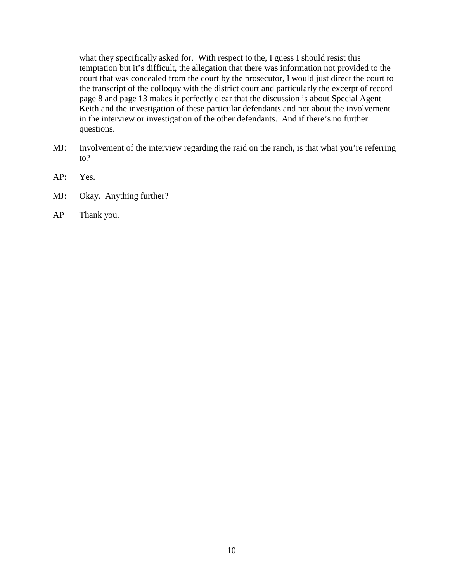what they specifically asked for. With respect to the, I guess I should resist this temptation but it's difficult, the allegation that there was information not provided to the court that was concealed from the court by the prosecutor, I would just direct the court to the transcript of the colloquy with the district court and particularly the excerpt of record page 8 and page 13 makes it perfectly clear that the discussion is about Special Agent Keith and the investigation of these particular defendants and not about the involvement in the interview or investigation of the other defendants. And if there's no further questions.

- MJ: Involvement of the interview regarding the raid on the ranch, is that what you're referring to?
- AP: Yes.
- MJ: Okay. Anything further?
- AP Thank you.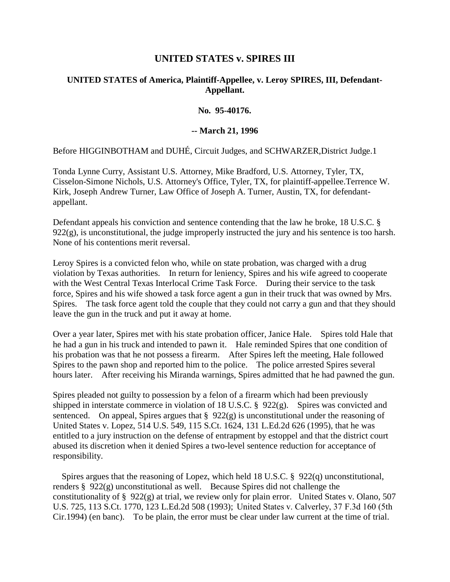## **UNITED STATES v. SPIRES III**

## **UNITED STATES of America, Plaintiff-Appellee, v. Leroy SPIRES, III, Defendant-Appellant.**

**No. 95-40176.**

#### **-- March 21, 1996**

Before HIGGINBOTHAM and DUHÉ, Circuit Judges, and SCHWARZER,District Judge.1

Tonda Lynne Curry, Assistant U.S. Attorney, Mike Bradford, U.S. Attorney, Tyler, TX, Cisselon-Simone Nichols, U.S. Attorney's Office, Tyler, TX, for plaintiff-appellee.Terrence W. Kirk, Joseph Andrew Turner, Law Office of Joseph A. Turner, Austin, TX, for defendantappellant.

Defendant appeals his conviction and sentence contending that the law he broke, 18 U.S.C. §  $922(g)$ , is unconstitutional, the judge improperly instructed the jury and his sentence is too harsh. None of his contentions merit reversal.

Leroy Spires is a convicted felon who, while on state probation, was charged with a drug violation by Texas authorities. In return for leniency, Spires and his wife agreed to cooperate with the West Central Texas Interlocal Crime Task Force. During their service to the task force, Spires and his wife showed a task force agent a gun in their truck that was owned by Mrs. Spires. The task force agent told the couple that they could not carry a gun and that they should leave the gun in the truck and put it away at home.

Over a year later, Spires met with his state probation officer, Janice Hale. Spires told Hale that he had a gun in his truck and intended to pawn it. Hale reminded Spires that one condition of his probation was that he not possess a firearm. After Spires left the meeting, Hale followed Spires to the pawn shop and reported him to the police. The police arrested Spires several hours later. After receiving his Miranda warnings, Spires admitted that he had pawned the gun.

Spires pleaded not guilty to possession by a felon of a firearm which had been previously shipped in interstate commerce in violation of 18 U.S.C. § 922(g). Spires was convicted and sentenced. On appeal, Spires argues that § 922(g) is unconstitutional under the reasoning of United States v. Lopez, 514 U.S. 549, 115 S.Ct. 1624, 131 L.Ed.2d 626 (1995), that he was entitled to a jury instruction on the defense of entrapment by estoppel and that the district court abused its discretion when it denied Spires a two-level sentence reduction for acceptance of responsibility.

Spires argues that the reasoning of Lopez, which held 18 U.S.C.  $\S$  922(q) unconstitutional, renders § 922(g) unconstitutional as well. Because Spires did not challenge the constitutionality of § 922(g) at trial, we review only for plain error. United States v. Olano, 507 U.S. 725, 113 S.Ct. 1770, 123 L.Ed.2d 508 (1993);  United States v. Calverley, 37 F.3d 160 (5th Cir.1994) (en banc). To be plain, the error must be clear under law current at the time of trial.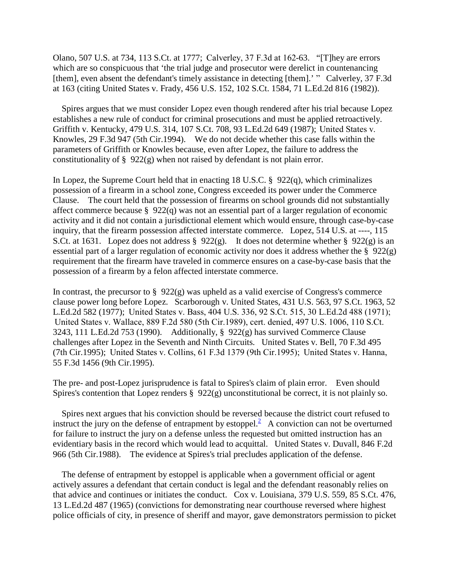Olano, 507 U.S. at 734, 113 S.Ct. at 1777;  Calverley, 37 F.3d at 162-63. "[T]hey are errors which are so conspicuous that 'the trial judge and prosecutor were derelict in countenancing [them], even absent the defendant's timely assistance in detecting [them].<sup>'</sup> Calverley, 37 F.3d at 163 (citing United States v. Frady, 456 U.S. 152, 102 S.Ct. 1584, 71 L.Ed.2d 816 (1982)).

Spires argues that we must consider Lopez even though rendered after his trial because Lopez establishes a new rule of conduct for criminal prosecutions and must be applied retroactively. Griffith v. Kentucky, 479 U.S. 314, 107 S.Ct. 708, 93 L.Ed.2d 649 (1987);  United States v. Knowles, 29 F.3d 947 (5th Cir.1994). We do not decide whether this case falls within the parameters of Griffith or Knowles because, even after Lopez, the failure to address the constitutionality of  $\S$  922(g) when not raised by defendant is not plain error.

In Lopez, the Supreme Court held that in enacting 18 U.S.C. § 922(q), which criminalizes possession of a firearm in a school zone, Congress exceeded its power under the Commerce Clause. The court held that the possession of firearms on school grounds did not substantially affect commerce because § 922(q) was not an essential part of a larger regulation of economic activity and it did not contain a jurisdictional element which would ensure, through case-by-case inquiry, that the firearm possession affected interstate commerce. Lopez, 514 U.S. at ----, 115 S.Ct. at 1631. Lopez does not address § 922(g). It does not determine whether § 922(g) is an essential part of a larger regulation of economic activity nor does it address whether the § 922(g) requirement that the firearm have traveled in commerce ensures on a case-by-case basis that the possession of a firearm by a felon affected interstate commerce.

In contrast, the precursor to  $\S$  922(g) was upheld as a valid exercise of Congress's commerce clause power long before Lopez. Scarborough v. United States, 431 U.S. 563, 97 S.Ct. 1963, 52 L.Ed.2d 582 (1977);  United States v. Bass, 404 U.S. 336, 92 S.Ct. 515, 30 L.Ed.2d 488 (1971);  United States v. Wallace, 889 F.2d 580 (5th Cir.1989), cert. denied, 497 U.S. 1006, 110 S.Ct. 3243, 111 L.Ed.2d 753 (1990). Additionally, § 922(g) has survived Commerce Clause challenges after Lopez in the Seventh and Ninth Circuits. United States v. Bell, 70 F.3d 495 (7th Cir.1995);  United States v. Collins, 61 F.3d 1379 (9th Cir.1995);  United States v. Hanna, 55 F.3d 1456 (9th Cir.1995).

The pre- and post-Lopez jurisprudence is fatal to Spires's claim of plain error. Even should Spires's contention that Lopez renders  $\S$  922(g) unconstitutional be correct, it is not plainly so.

Spires next argues that his conviction should be reversed because the district court refused to instruct the jury on the defense of entrapment by estoppel. $\frac{2}{3}$  $\frac{2}{3}$  $\frac{2}{3}$  A conviction can not be overturned for failure to instruct the jury on a defense unless the requested but omitted instruction has an evidentiary basis in the record which would lead to acquittal. United States v. Duvall, 846 F.2d 966 (5th Cir.1988). The evidence at Spires's trial precludes application of the defense.

The defense of entrapment by estoppel is applicable when a government official or agent actively assures a defendant that certain conduct is legal and the defendant reasonably relies on that advice and continues or initiates the conduct. Cox v. Louisiana, 379 U.S. 559, 85 S.Ct. 476, 13 L.Ed.2d 487 (1965) (convictions for demonstrating near courthouse reversed where highest police officials of city, in presence of sheriff and mayor, gave demonstrators permission to picket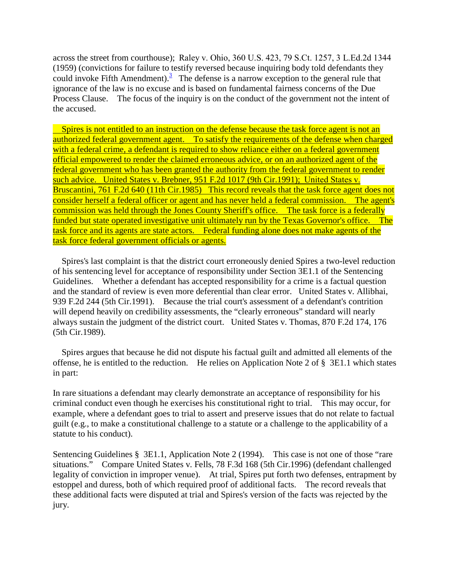across the street from courthouse);  Raley v. Ohio, 360 U.S. 423, 79 S.Ct. 1257, 3 L.Ed.2d 1344 (1959) (convictions for failure to testify reversed because inquiring body told defendants they could invoke Fifth Amendment).<sup>[3](http://caselaw.findlaw.com/us-5th-circuit/1155717.html#footnote_3)</sup> The defense is a narrow exception to the general rule that ignorance of the law is no excuse and is based on fundamental fairness concerns of the Due Process Clause. The focus of the inquiry is on the conduct of the government not the intent of the accused.

Spires is not entitled to an instruction on the defense because the task force agent is not an authorized federal government agent. To satisfy the requirements of the defense when charged with a federal crime, a defendant is required to show reliance either on a federal government official empowered to render the claimed erroneous advice, or on an authorized agent of the federal government who has been granted the authority from the federal government to render such advice. United States v. Brebner, 951 F.2d 1017 (9th Cir.1991); United States v. Bruscantini, 761 F.2d 640 (11th Cir.1985) This record reveals that the task force agent does not consider herself a federal officer or agent and has never held a federal commission. The agent's commission was held through the Jones County Sheriff's office. The task force is a federally funded but state operated investigative unit ultimately run by the Texas Governor's office. The task force and its agents are state actors. Federal funding alone does not make agents of the task force federal government officials or agents.

Spires's last complaint is that the district court erroneously denied Spires a two-level reduction of his sentencing level for acceptance of responsibility under Section 3E1.1 of the Sentencing Guidelines. Whether a defendant has accepted responsibility for a crime is a factual question and the standard of review is even more deferential than clear error. United States v. Allibhai, 939 F.2d 244 (5th Cir.1991). Because the trial court's assessment of a defendant's contrition will depend heavily on credibility assessments, the "clearly erroneous" standard will nearly always sustain the judgment of the district court. United States v. Thomas, 870 F.2d 174, 176 (5th Cir.1989).

Spires argues that because he did not dispute his factual guilt and admitted all elements of the offense, he is entitled to the reduction. He relies on Application Note 2 of § 3E1.1 which states in part:

In rare situations a defendant may clearly demonstrate an acceptance of responsibility for his criminal conduct even though he exercises his constitutional right to trial. This may occur, for example, where a defendant goes to trial to assert and preserve issues that do not relate to factual guilt (e.g., to make a constitutional challenge to a statute or a challenge to the applicability of a statute to his conduct).

Sentencing Guidelines § 3E1.1, Application Note 2 (1994). This case is not one of those "rare situations." Compare United States v. Fells, 78 F.3d 168 (5th Cir.1996) (defendant challenged legality of conviction in improper venue). At trial, Spires put forth two defenses, entrapment by estoppel and duress, both of which required proof of additional facts. The record reveals that these additional facts were disputed at trial and Spires's version of the facts was rejected by the jury.